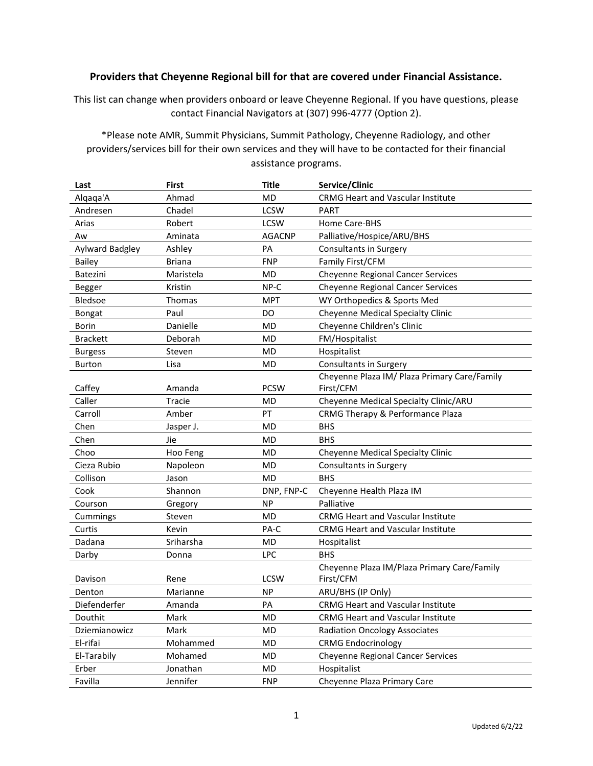## Providers that Cheyenne Regional bill for that are covered under Financial Assistance.

This list can change when providers onboard or leave Cheyenne Regional. If you have questions, please contact Financial Navigators at (307) 996-4777 (Option 2).

\*Please note AMR, Summit Physicians, Summit Pathology, Cheyenne Radiology, and other providers/services bill for their own services and they will have to be contacted for their financial assistance programs.

| Last            | <b>First</b>  | <b>Title</b>  | Service/Clinic                               |
|-----------------|---------------|---------------|----------------------------------------------|
| Algaga'A        | Ahmad         | <b>MD</b>     | <b>CRMG Heart and Vascular Institute</b>     |
| Andresen        | Chadel        | <b>LCSW</b>   | <b>PART</b>                                  |
| Arias           | Robert        | <b>LCSW</b>   | Home Care-BHS                                |
| Aw              | Aminata       | <b>AGACNP</b> | Palliative/Hospice/ARU/BHS                   |
| Aylward Badgley | Ashley        | PA            | Consultants in Surgery                       |
| Bailey          | <b>Briana</b> | <b>FNP</b>    | Family First/CFM                             |
| Batezini        | Maristela     | <b>MD</b>     | <b>Cheyenne Regional Cancer Services</b>     |
| Begger          | Kristin       | NP-C          | <b>Cheyenne Regional Cancer Services</b>     |
| Bledsoe         | Thomas        | <b>MPT</b>    | WY Orthopedics & Sports Med                  |
| Bongat          | Paul          | DO            | Cheyenne Medical Specialty Clinic            |
| <b>Borin</b>    | Danielle      | <b>MD</b>     | Cheyenne Children's Clinic                   |
| <b>Brackett</b> | Deborah       | <b>MD</b>     | FM/Hospitalist                               |
| <b>Burgess</b>  | Steven        | MD            | Hospitalist                                  |
| <b>Burton</b>   | Lisa          | <b>MD</b>     | <b>Consultants in Surgery</b>                |
|                 |               |               | Cheyenne Plaza IM/ Plaza Primary Care/Family |
| Caffey          | Amanda        | <b>PCSW</b>   | First/CFM                                    |
| Caller          | Tracie        | <b>MD</b>     | Cheyenne Medical Specialty Clinic/ARU        |
| Carroll         | Amber         | PT            | CRMG Therapy & Performance Plaza             |
| Chen            | Jasper J.     | <b>MD</b>     | <b>BHS</b>                                   |
| Chen            | Jie           | <b>MD</b>     | <b>BHS</b>                                   |
| Choo            | Hoo Feng      | <b>MD</b>     | Cheyenne Medical Specialty Clinic            |
| Cieza Rubio     | Napoleon      | <b>MD</b>     | <b>Consultants in Surgery</b>                |
| Collison        | Jason         | MD            | <b>BHS</b>                                   |
| Cook            | Shannon       | DNP, FNP-C    | Cheyenne Health Plaza IM                     |
| Courson         | Gregory       | <b>NP</b>     | Palliative                                   |
| Cummings        | Steven        | <b>MD</b>     | <b>CRMG Heart and Vascular Institute</b>     |
| Curtis          | Kevin         | PA-C          | CRMG Heart and Vascular Institute            |
| Dadana          | Sriharsha     | MD            | Hospitalist                                  |
| Darby           | Donna         | <b>LPC</b>    | <b>BHS</b>                                   |
|                 |               |               | Cheyenne Plaza IM/Plaza Primary Care/Family  |
| Davison         | Rene          | <b>LCSW</b>   | First/CFM                                    |
| Denton          | Marianne      | <b>NP</b>     | ARU/BHS (IP Only)                            |
| Diefenderfer    | Amanda        | PA            | <b>CRMG Heart and Vascular Institute</b>     |
| Douthit         | Mark          | MD            | CRMG Heart and Vascular Institute            |
| Dziemianowicz   | Mark          | MD            | <b>Radiation Oncology Associates</b>         |
| El-rifai        | Mohammed      | MD            | <b>CRMG Endocrinology</b>                    |
| El-Tarabily     | Mohamed       | MD            | <b>Cheyenne Regional Cancer Services</b>     |
| Erber           | Jonathan      | MD            | Hospitalist                                  |
| Favilla         | Jennifer      | <b>FNP</b>    | Cheyenne Plaza Primary Care                  |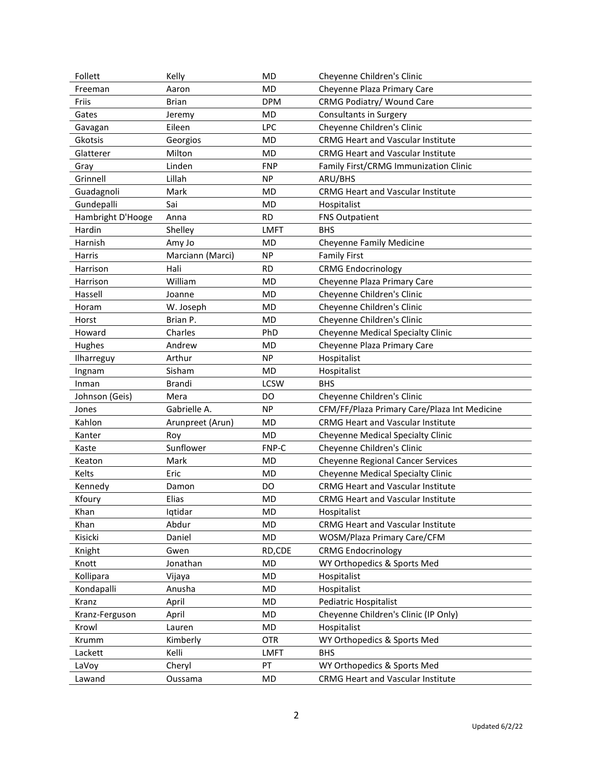| Follett           | Kelly            | <b>MD</b>   | Cheyenne Children's Clinic                   |
|-------------------|------------------|-------------|----------------------------------------------|
| Freeman           | Aaron            | MD          | Cheyenne Plaza Primary Care                  |
| Friis             | <b>Brian</b>     | <b>DPM</b>  | CRMG Podiatry/ Wound Care                    |
| Gates             | Jeremy           | MD          | Consultants in Surgery                       |
| Gavagan           | Eileen           | <b>LPC</b>  | Cheyenne Children's Clinic                   |
| Gkotsis           | Georgios         | MD          | <b>CRMG Heart and Vascular Institute</b>     |
| Glatterer         | Milton           | <b>MD</b>   | <b>CRMG Heart and Vascular Institute</b>     |
| Gray              | Linden           | <b>FNP</b>  | Family First/CRMG Immunization Clinic        |
| Grinnell          | Lillah           | <b>NP</b>   | ARU/BHS                                      |
| Guadagnoli        | Mark             | <b>MD</b>   | <b>CRMG Heart and Vascular Institute</b>     |
| Gundepalli        | Sai              | MD          | Hospitalist                                  |
| Hambright D'Hooge | Anna             | <b>RD</b>   | <b>FNS Outpatient</b>                        |
| Hardin            | Shelley          | <b>LMFT</b> | <b>BHS</b>                                   |
| Harnish           | Amy Jo           | <b>MD</b>   | Cheyenne Family Medicine                     |
| Harris            | Marciann (Marci) | <b>NP</b>   | <b>Family First</b>                          |
| Harrison          | Hali             | <b>RD</b>   | <b>CRMG Endocrinology</b>                    |
| Harrison          | William          | MD          | Cheyenne Plaza Primary Care                  |
| Hassell           | Joanne           | <b>MD</b>   | Cheyenne Children's Clinic                   |
| Horam             | W. Joseph        | MD          | Cheyenne Children's Clinic                   |
| Horst             | Brian P.         | MD          | Cheyenne Children's Clinic                   |
| Howard            | Charles          | PhD         | Cheyenne Medical Specialty Clinic            |
| Hughes            | Andrew           | <b>MD</b>   | Cheyenne Plaza Primary Care                  |
| Ilharreguy        | Arthur           | <b>NP</b>   | Hospitalist                                  |
| Ingnam            | Sisham           | <b>MD</b>   | Hospitalist                                  |
| Inman             | Brandi           | <b>LCSW</b> | <b>BHS</b>                                   |
| Johnson (Geis)    | Mera             | DO          | Cheyenne Children's Clinic                   |
| Jones             | Gabrielle A.     | <b>NP</b>   | CFM/FF/Plaza Primary Care/Plaza Int Medicine |
| Kahlon            | Arunpreet (Arun) | MD          | <b>CRMG Heart and Vascular Institute</b>     |
| Kanter            | Roy              | MD          | Cheyenne Medical Specialty Clinic            |
| Kaste             | Sunflower        | FNP-C       | Cheyenne Children's Clinic                   |
| Keaton            | Mark             | MD          | <b>Cheyenne Regional Cancer Services</b>     |
| Kelts             | Eric             | MD          | Cheyenne Medical Specialty Clinic            |
| Kennedy           | Damon            | DO          | <b>CRMG Heart and Vascular Institute</b>     |
| Kfoury            | Elias            | <b>MD</b>   | <b>CRMG Heart and Vascular Institute</b>     |
| Khan              | Iqtidar          | MD          | Hospitalist                                  |
| Khan              | Abdur            | MD          | <b>CRMG Heart and Vascular Institute</b>     |
| Kisicki           | Daniel           | MD          | WOSM/Plaza Primary Care/CFM                  |
| Knight            | Gwen             | RD,CDE      | <b>CRMG Endocrinology</b>                    |
| Knott             | Jonathan         | MD          | WY Orthopedics & Sports Med                  |
| Kollipara         | Vijaya           | MD          | Hospitalist                                  |
| Kondapalli        | Anusha           | MD          | Hospitalist                                  |
| Kranz             | April            | MD          | Pediatric Hospitalist                        |
| Kranz-Ferguson    | April            | MD          | Cheyenne Children's Clinic (IP Only)         |
| Krowl             | Lauren           | MD          | Hospitalist                                  |
| Krumm             | Kimberly         | <b>OTR</b>  | WY Orthopedics & Sports Med                  |
| Lackett           | Kelli            | <b>LMFT</b> | <b>BHS</b>                                   |
| LaVoy             | Cheryl           | PT          | WY Orthopedics & Sports Med                  |
| Lawand            | Oussama          | MD          | <b>CRMG Heart and Vascular Institute</b>     |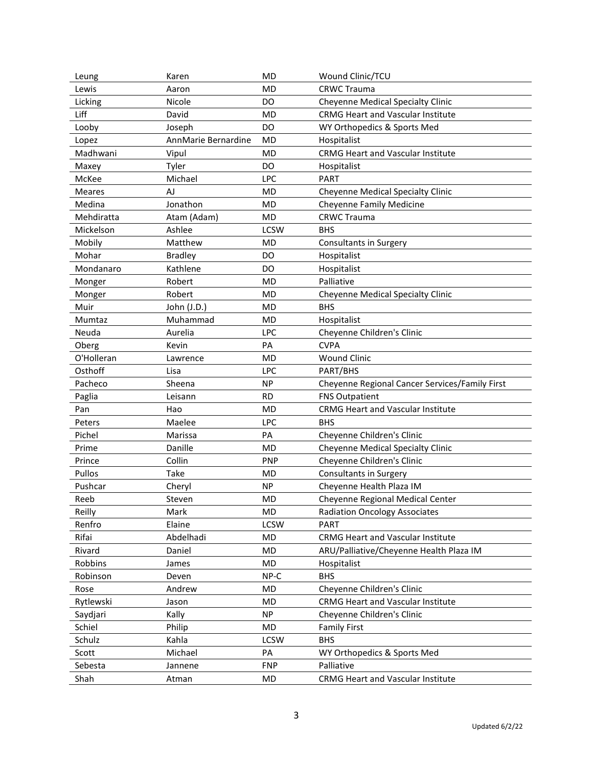| Leung         | Karen               | <b>MD</b>   | Wound Clinic/TCU                               |
|---------------|---------------------|-------------|------------------------------------------------|
| Lewis         | Aaron               | MD          | <b>CRWC Trauma</b>                             |
| Licking       | Nicole              | <b>DO</b>   | <b>Cheyenne Medical Specialty Clinic</b>       |
| Liff          | David               | MD          | <b>CRMG Heart and Vascular Institute</b>       |
| Looby         | Joseph              | DO          | WY Orthopedics & Sports Med                    |
| Lopez         | AnnMarie Bernardine | <b>MD</b>   | Hospitalist                                    |
| Madhwani      | Vipul               | <b>MD</b>   | <b>CRMG Heart and Vascular Institute</b>       |
| Maxey         | Tyler               | DO          | Hospitalist                                    |
| McKee         | Michael             | LPC         | <b>PART</b>                                    |
| <b>Meares</b> | AJ                  | <b>MD</b>   | Cheyenne Medical Specialty Clinic              |
| Medina        | Jonathon            | <b>MD</b>   | <b>Cheyenne Family Medicine</b>                |
| Mehdiratta    | Atam (Adam)         | MD          | <b>CRWC Trauma</b>                             |
| Mickelson     | Ashlee              | <b>LCSW</b> | <b>BHS</b>                                     |
| Mobily        | Matthew             | <b>MD</b>   | Consultants in Surgery                         |
| Mohar         | <b>Bradley</b>      | DO          | Hospitalist                                    |
| Mondanaro     | Kathlene            | DO          | Hospitalist                                    |
| Monger        | Robert              | <b>MD</b>   | Palliative                                     |
| Monger        | Robert              | <b>MD</b>   | Cheyenne Medical Specialty Clinic              |
| Muir          | John (J.D.)         | MD          | <b>BHS</b>                                     |
| Mumtaz        | Muhammad            | <b>MD</b>   | Hospitalist                                    |
| Neuda         | Aurelia             | <b>LPC</b>  | Cheyenne Children's Clinic                     |
| Oberg         | Kevin               | PA          | <b>CVPA</b>                                    |
| O'Holleran    | Lawrence            | <b>MD</b>   | <b>Wound Clinic</b>                            |
| Osthoff       | Lisa                | <b>LPC</b>  | PART/BHS                                       |
| Pacheco       | Sheena              | <b>NP</b>   | Cheyenne Regional Cancer Services/Family First |
| Paglia        | Leisann             | <b>RD</b>   | <b>FNS Outpatient</b>                          |
| Pan           | Hao                 | <b>MD</b>   | <b>CRMG Heart and Vascular Institute</b>       |
| Peters        | Maelee              | <b>LPC</b>  | <b>BHS</b>                                     |
| Pichel        | Marissa             | PA          | Cheyenne Children's Clinic                     |
| Prime         | Danille             | <b>MD</b>   | <b>Cheyenne Medical Specialty Clinic</b>       |
| Prince        | Collin              | <b>PNP</b>  | Cheyenne Children's Clinic                     |
| Pullos        | Take                | <b>MD</b>   | <b>Consultants in Surgery</b>                  |
| Pushcar       | Cheryl              | <b>NP</b>   | Cheyenne Health Plaza IM                       |
| Reeb          | Steven              | <b>MD</b>   | Cheyenne Regional Medical Center               |
| Reilly        | Mark                | MD          | <b>Radiation Oncology Associates</b>           |
| Renfro        | Elaine              | LCSW        | PART                                           |
| Rifai         | Abdelhadi           | MD          | <b>CRMG Heart and Vascular Institute</b>       |
| Rivard        | Daniel              | MD          | ARU/Palliative/Cheyenne Health Plaza IM        |
| Robbins       | James               | MD          | Hospitalist                                    |
| Robinson      | Deven               | NP-C        | <b>BHS</b>                                     |
| Rose          | Andrew              | <b>MD</b>   | Cheyenne Children's Clinic                     |
| Rytlewski     | Jason               | MD          | <b>CRMG Heart and Vascular Institute</b>       |
| Saydjari      | Kally               | <b>NP</b>   | Cheyenne Children's Clinic                     |
| Schiel        | Philip              | MD          | <b>Family First</b>                            |
| Schulz        | Kahla               | <b>LCSW</b> | <b>BHS</b>                                     |
| Scott         | Michael             | PA          | WY Orthopedics & Sports Med                    |
| Sebesta       | Jannene             | <b>FNP</b>  | Palliative                                     |
| Shah          | Atman               | MD          | CRMG Heart and Vascular Institute              |